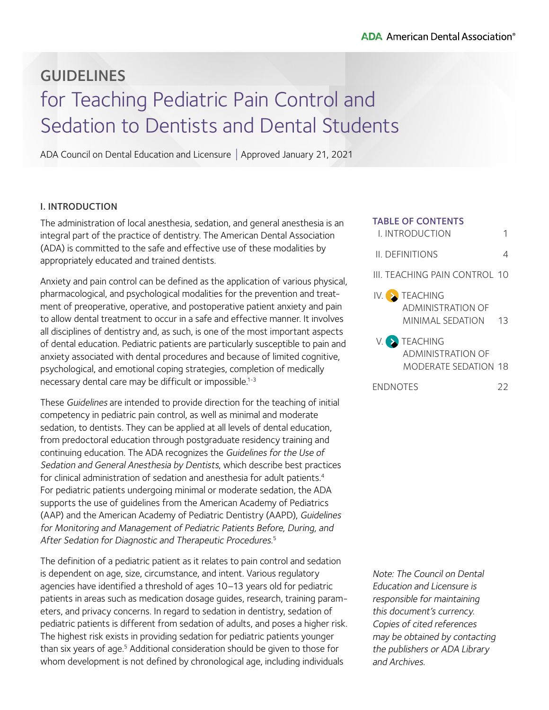#### **ADA** American Dental Association<sup>®</sup>

# GUIDELINES for Teaching Pediatric Pain Control and Sedation to Dentists and Dental Students

ADA Council on Dental Education and Licensure | Approved January 21, 2021

#### I. INTRODUCTION

The administration of local anesthesia, sedation, and general anesthesia is an integral part of the practice of dentistry. The American Dental Association (ADA) is committed to the safe and effective use of these modalities by appropriately educated and trained dentists.

Anxiety and pain control can be defined as the application of various physical, pharmacological, and psychological modalities for the prevention and treatment of preoperative, operative, and postoperative patient anxiety and pain to allow dental treatment to occur in a safe and effective manner. It involves all disciplines of dentistry and, as such, is one of the most important aspects of dental education. Pediatric patients are particularly susceptible to pain and anxiety associated with dental procedures and because of limited cognitive, psychological, and emotional coping strategies, completion of medically necessary dental care may be difficult or impossible.<sup>1-3</sup>

These Guidelines are intended to provide direction for the teaching of initial competency in pediatric pain control, as well as minimal and moderate sedation, to dentists. They can be applied at all levels of dental education, from predoctoral education through postgraduate residency training and continuing education. The ADA recognizes the Guidelines for the Use of Sedation and General Anesthesia by Dentists, which describe best practices for clinical administration of sedation and anesthesia for adult patients.<sup>4</sup> For pediatric patients undergoing minimal or moderate sedation, the ADA supports the use of guidelines from the American Academy of Pediatrics (AAP) and the American Academy of Pediatric Dentistry (AAPD), Guidelines for Monitoring and Management of Pediatric Patients Before, During, and After Sedation for Diagnostic and Therapeutic Procedures.<sup>5</sup>

The definition of a pediatric patient as it relates to pain control and sedation is dependent on age, size, circumstance, and intent. Various regulatory agencies have identified a threshold of ages 10–13 years old for pediatric patients in areas such as medication dosage guides, research, training parameters, and privacy concerns. In regard to sedation in dentistry, sedation of pediatric patients is different from sedation of adults, and poses a higher risk. The highest risk exists in providing sedation for pediatric patients younger than six years of age.<sup>5</sup> Additional consideration should be given to those for whom development is not defined by chronological age, including individuals

| <b>TABLE OF CONTENTS</b><br>L INTRODUCTION                  |      |
|-------------------------------------------------------------|------|
| <b>IL DEFINITIONS</b>                                       |      |
| III. TEACHING PAIN CONTROL 10                               |      |
| IV. EACHING<br><b>ADMINISTRATION OF</b><br>MINIMAI SEDATION | - 13 |
| V. TEACHING<br>ADMINISTRATION OF<br>MODERATE SEDATION 18    |      |

[ENDNOTES](#page-21-0) 22

Note: The Council on Dental Education and Licensure is responsible for maintaining this document's currency. Copies of cited references may be obtained by contacting the publishers or ADA Library and Archives.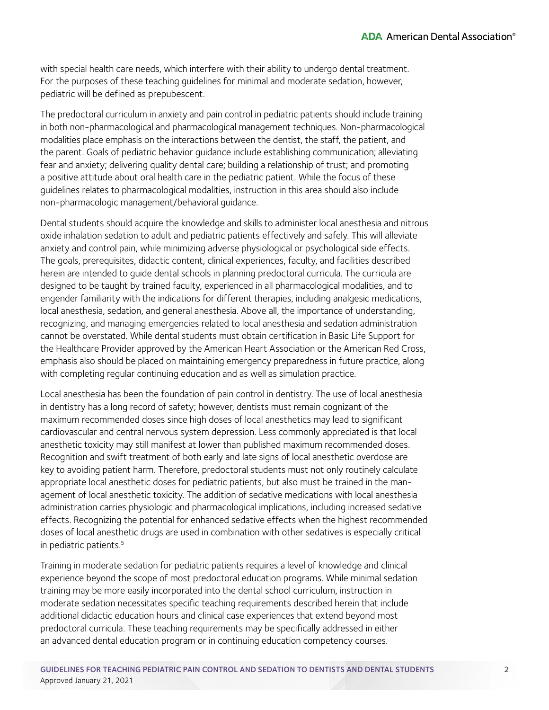with special health care needs, which interfere with their ability to undergo dental treatment. For the purposes of these teaching guidelines for minimal and moderate sedation, however, pediatric will be defined as prepubescent.

The predoctoral curriculum in anxiety and pain control in pediatric patients should include training in both non-pharmacological and pharmacological management techniques. Non-pharmacological modalities place emphasis on the interactions between the dentist, the staff, the patient, and the parent. Goals of pediatric behavior guidance include establishing communication; alleviating fear and anxiety; delivering quality dental care; building a relationship of trust; and promoting a positive attitude about oral health care in the pediatric patient. While the focus of these guidelines relates to pharmacological modalities, instruction in this area should also include non-pharmacologic management/behavioral guidance.

Dental students should acquire the knowledge and skills to administer local anesthesia and nitrous oxide inhalation sedation to adult and pediatric patients effectively and safely. This will alleviate anxiety and control pain, while minimizing adverse physiological or psychological side effects. The goals, prerequisites, didactic content, clinical experiences, faculty, and facilities described herein are intended to guide dental schools in planning predoctoral curricula. The curricula are designed to be taught by trained faculty, experienced in all pharmacological modalities, and to engender familiarity with the indications for different therapies, including analgesic medications, local anesthesia, sedation, and general anesthesia. Above all, the importance of understanding, recognizing, and managing emergencies related to local anesthesia and sedation administration cannot be overstated. While dental students must obtain certification in Basic Life Support for the Healthcare Provider approved by the American Heart Association or the American Red Cross, emphasis also should be placed on maintaining emergency preparedness in future practice, along with completing regular continuing education and as well as simulation practice.

Local anesthesia has been the foundation of pain control in dentistry. The use of local anesthesia in dentistry has a long record of safety; however, dentists must remain cognizant of the maximum recommended doses since high doses of local anesthetics may lead to significant cardiovascular and central nervous system depression. Less commonly appreciated is that local anesthetic toxicity may still manifest at lower than published maximum recommended doses. Recognition and swift treatment of both early and late signs of local anesthetic overdose are key to avoiding patient harm. Therefore, predoctoral students must not only routinely calculate appropriate local anesthetic doses for pediatric patients, but also must be trained in the management of local anesthetic toxicity. The addition of sedative medications with local anesthesia administration carries physiologic and pharmacological implications, including increased sedative effects. Recognizing the potential for enhanced sedative effects when the highest recommended doses of local anesthetic drugs are used in combination with other sedatives is especially critical in pediatric patients.<sup>5</sup>

Training in moderate sedation for pediatric patients requires a level of knowledge and clinical experience beyond the scope of most predoctoral education programs. While minimal sedation training may be more easily incorporated into the dental school curriculum, instruction in moderate sedation necessitates specific teaching requirements described herein that include additional didactic education hours and clinical case experiences that extend beyond most predoctoral curricula. These teaching requirements may be specifically addressed in either an advanced dental education program or in continuing education competency courses.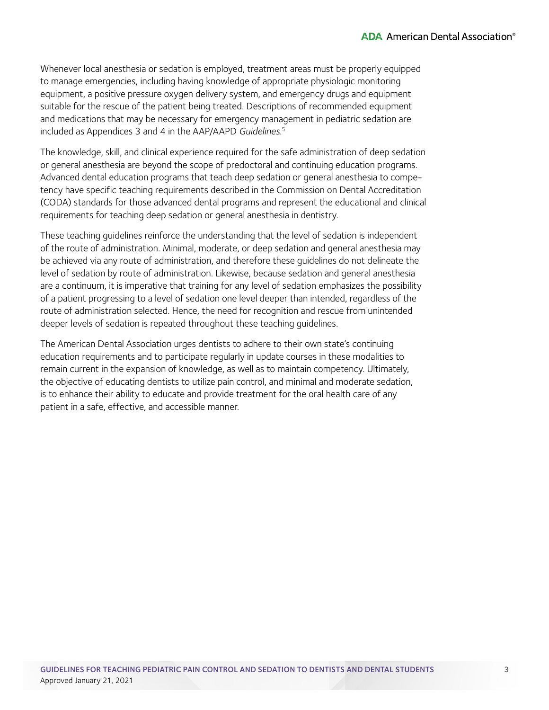Whenever local anesthesia or sedation is employed, treatment areas must be properly equipped to manage emergencies, including having knowledge of appropriate physiologic monitoring equipment, a positive pressure oxygen delivery system, and emergency drugs and equipment suitable for the rescue of the patient being treated. Descriptions of recommended equipment and medications that may be necessary for emergency management in pediatric sedation are included as Appendices 3 and 4 in the AAP/AAPD Guidelines. 5

The knowledge, skill, and clinical experience required for the safe administration of deep sedation or general anesthesia are beyond the scope of predoctoral and continuing education programs. Advanced dental education programs that teach deep sedation or general anesthesia to competency have specific teaching requirements described in the Commission on Dental Accreditation (CODA) standards for those advanced dental programs and represent the educational and clinical requirements for teaching deep sedation or general anesthesia in dentistry.

These teaching guidelines reinforce the understanding that the level of sedation is independent of the route of administration. Minimal, moderate, or deep sedation and general anesthesia may be achieved via any route of administration, and therefore these guidelines do not delineate the level of sedation by route of administration. Likewise, because sedation and general anesthesia are a continuum, it is imperative that training for any level of sedation emphasizes the possibility of a patient progressing to a level of sedation one level deeper than intended, regardless of the route of administration selected. Hence, the need for recognition and rescue from unintended deeper levels of sedation is repeated throughout these teaching guidelines.

The American Dental Association urges dentists to adhere to their own state's continuing education requirements and to participate regularly in update courses in these modalities to remain current in the expansion of knowledge, as well as to maintain competency. Ultimately, the objective of educating dentists to utilize pain control, and minimal and moderate sedation, is to enhance their ability to educate and provide treatment for the oral health care of any patient in a safe, effective, and accessible manner.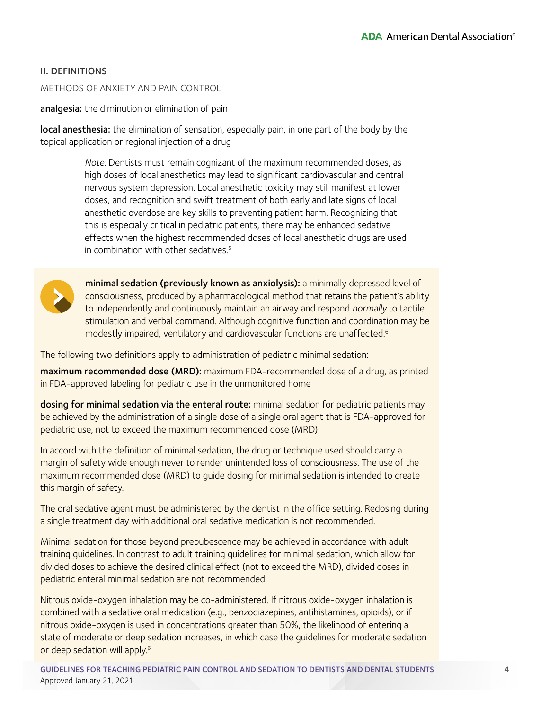## <span id="page-3-0"></span>II. DEFINITIONS

#### METHODS OF ANXIETY AND PAIN CONTROL

analgesia: the diminution or elimination of pain

local anesthesia: the elimination of sensation, especially pain, in one part of the body by the topical application or regional injection of a drug

> Note: Dentists must remain cognizant of the maximum recommended doses, as high doses of local anesthetics may lead to significant cardiovascular and central nervous system depression. Local anesthetic toxicity may still manifest at lower doses, and recognition and swift treatment of both early and late signs of local anesthetic overdose are key skills to preventing patient harm. Recognizing that this is especially critical in pediatric patients, there may be enhanced sedative effects when the highest recommended doses of local anesthetic drugs are used in combination with other sedatives  $5$



minimal sedation (previously known as anxiolysis): a minimally depressed level of consciousness, produced by a pharmacological method that retains the patient's ability to independently and continuously maintain an airway and respond normally to tactile stimulation and verbal command. Although cognitive function and coordination may be modestly impaired, ventilatory and cardiovascular functions are unaffected.6

The following two definitions apply to administration of pediatric minimal sedation:

maximum recommended dose (MRD): maximum FDA-recommended dose of a drug, as printed in FDA-approved labeling for pediatric use in the unmonitored home

dosing for minimal sedation via the enteral route: minimal sedation for pediatric patients may be achieved by the administration of a single dose of a single oral agent that is FDA-approved for pediatric use, not to exceed the maximum recommended dose (MRD)

In accord with the definition of minimal sedation, the drug or technique used should carry a margin of safety wide enough never to render unintended loss of consciousness. The use of the maximum recommended dose (MRD) to guide dosing for minimal sedation is intended to create this margin of safety.

The oral sedative agent must be administered by the dentist in the office setting. Redosing during a single treatment day with additional oral sedative medication is not recommended.

Minimal sedation for those beyond prepubescence may be achieved in accordance with adult training guidelines. In contrast to adult training guidelines for minimal sedation, which allow for divided doses to achieve the desired clinical effect (not to exceed the MRD), divided doses in pediatric enteral minimal sedation are not recommended.

Nitrous oxide-oxygen inhalation may be co-administered. If nitrous oxide-oxygen inhalation is combined with a sedative oral medication (e.g., benzodiazepines, antihistamines, opioids), or if nitrous oxide-oxygen is used in concentrations greater than 50%, the likelihood of entering a state of moderate or deep sedation increases, in which case the guidelines for moderate sedation or deep sedation will apply.<sup>6</sup>

GUIDELINES FOR TEACHING PEDIATRIC PAIN CONTROL AND SEDATION TO DENTISTS AND DENTAL STUDENTS Approved January 21, 2021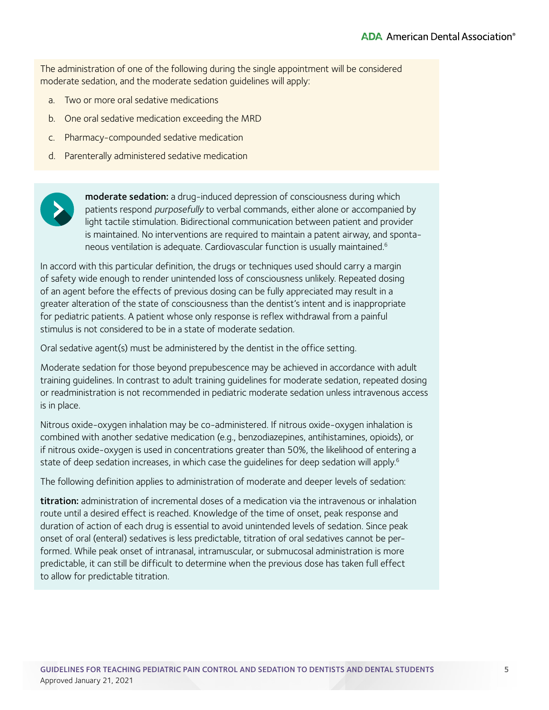The administration of one of the following during the single appointment will be considered moderate sedation, and the moderate sedation guidelines will apply:

- a. Two or more oral sedative medications
- b. One oral sedative medication exceeding the MRD
- c. Pharmacy-compounded sedative medication
- d. Parenterally administered sedative medication



moderate sedation: a drug-induced depression of consciousness during which patients respond purposefully to verbal commands, either alone or accompanied by light tactile stimulation. Bidirectional communication between patient and provider is maintained. No interventions are required to maintain a patent airway, and spontaneous ventilation is adequate. Cardiovascular function is usually maintained.<sup>6</sup>

In accord with this particular definition, the drugs or techniques used should carry a margin of safety wide enough to render unintended loss of consciousness unlikely. Repeated dosing of an agent before the effects of previous dosing can be fully appreciated may result in a greater alteration of the state of consciousness than the dentist's intent and is inappropriate for pediatric patients. A patient whose only response is reflex withdrawal from a painful stimulus is not considered to be in a state of moderate sedation.

Oral sedative agent(s) must be administered by the dentist in the office setting.

Moderate sedation for those beyond prepubescence may be achieved in accordance with adult training guidelines. In contrast to adult training guidelines for moderate sedation, repeated dosing or readministration is not recommended in pediatric moderate sedation unless intravenous access is in place.

Nitrous oxide-oxygen inhalation may be co-administered. If nitrous oxide-oxygen inhalation is combined with another sedative medication (e.g., benzodiazepines, antihistamines, opioids), or if nitrous oxide-oxygen is used in concentrations greater than 50%, the likelihood of entering a state of deep sedation increases, in which case the quidelines for deep sedation will apply.<sup>6</sup>

The following definition applies to administration of moderate and deeper levels of sedation:

titration: administration of incremental doses of a medication via the intravenous or inhalation route until a desired effect is reached. Knowledge of the time of onset, peak response and duration of action of each drug is essential to avoid unintended levels of sedation. Since peak onset of oral (enteral) sedatives is less predictable, titration of oral sedatives cannot be performed. While peak onset of intranasal, intramuscular, or submucosal administration is more predictable, it can still be difficult to determine when the previous dose has taken full effect to allow for predictable titration.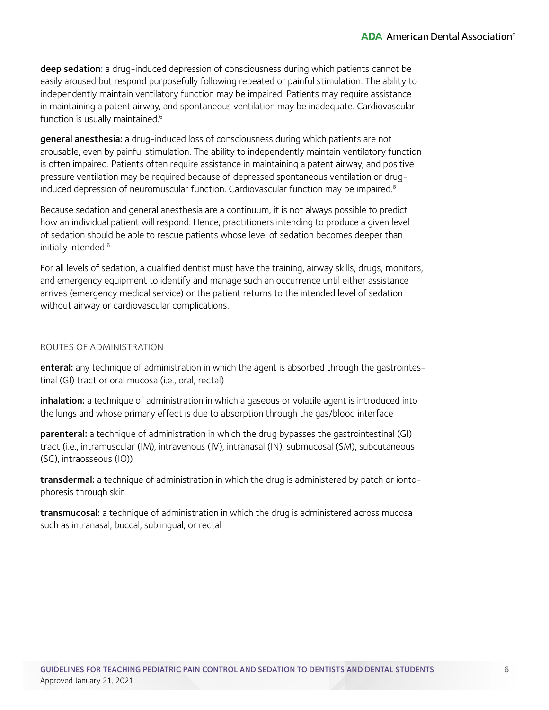deep sedation: a drug-induced depression of consciousness during which patients cannot be easily aroused but respond purposefully following repeated or painful stimulation. The ability to independently maintain ventilatory function may be impaired. Patients may require assistance in maintaining a patent airway, and spontaneous ventilation may be inadequate. Cardiovascular function is usually maintained.<sup>6</sup>

general anesthesia: a drug-induced loss of consciousness during which patients are not arousable, even by painful stimulation. The ability to independently maintain ventilatory function is often impaired. Patients often require assistance in maintaining a patent airway, and positive pressure ventilation may be required because of depressed spontaneous ventilation or druginduced depression of neuromuscular function. Cardiovascular function may be impaired.<sup>6</sup>

Because sedation and general anesthesia are a continuum, it is not always possible to predict how an individual patient will respond. Hence, practitioners intending to produce a given level of sedation should be able to rescue patients whose level of sedation becomes deeper than initially intended.<sup>6</sup>

For all levels of sedation, a qualified dentist must have the training, airway skills, drugs, monitors, and emergency equipment to identify and manage such an occurrence until either assistance arrives (emergency medical service) or the patient returns to the intended level of sedation without airway or cardiovascular complications.

#### ROUTES OF ADMINISTRATION

enteral: any technique of administration in which the agent is absorbed through the gastrointestinal (GI) tract or oral mucosa (i.e., oral, rectal)

inhalation: a technique of administration in which a gaseous or volatile agent is introduced into the lungs and whose primary effect is due to absorption through the gas/blood interface

parenteral: a technique of administration in which the drug bypasses the gastrointestinal (GI) tract (i.e., intramuscular (IM), intravenous (IV), intranasal (IN), submucosal (SM), subcutaneous (SC), intraosseous (IO))

transdermal: a technique of administration in which the drug is administered by patch or iontophoresis through skin

transmucosal: a technique of administration in which the drug is administered across mucosa such as intranasal, buccal, sublingual, or rectal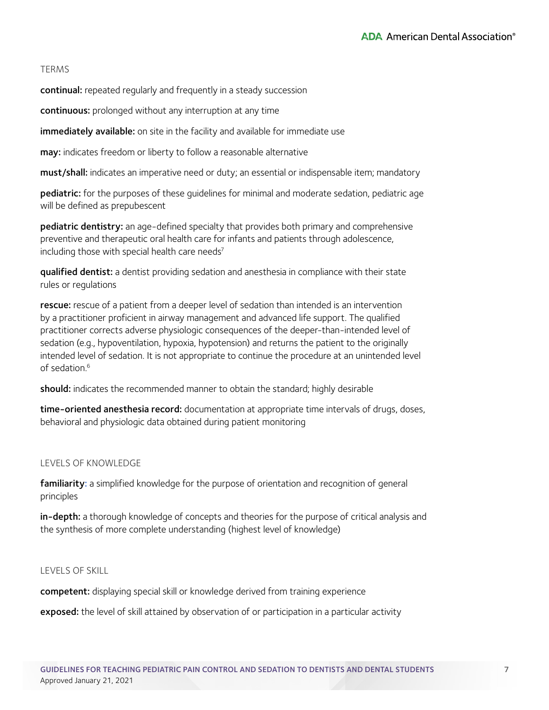## TERMS

continual: repeated regularly and frequently in a steady succession

continuous: prolonged without any interruption at any time

immediately available: on site in the facility and available for immediate use

may: indicates freedom or liberty to follow a reasonable alternative

must/shall: indicates an imperative need or duty; an essential or indispensable item; mandatory

pediatric: for the purposes of these quidelines for minimal and moderate sedation, pediatric age will be defined as prepubescent

pediatric dentistry: an age-defined specialty that provides both primary and comprehensive preventive and therapeutic oral health care for infants and patients through adolescence, including those with special health care needs<sup>7</sup>

qualified dentist: a dentist providing sedation and anesthesia in compliance with their state rules or regulations

rescue: rescue of a patient from a deeper level of sedation than intended is an intervention by a practitioner proficient in airway management and advanced life support. The qualified practitioner corrects adverse physiologic consequences of the deeper-than-intended level of sedation (e.g., hypoventilation, hypoxia, hypotension) and returns the patient to the originally intended level of sedation. It is not appropriate to continue the procedure at an unintended level of sedation  $6$ 

should: indicates the recommended manner to obtain the standard; highly desirable

time-oriented anesthesia record: documentation at appropriate time intervals of drugs, doses, behavioral and physiologic data obtained during patient monitoring

#### LEVELS OF KNOWLEDGE

familiarity: a simplified knowledge for the purpose of orientation and recognition of general principles

in-depth: a thorough knowledge of concepts and theories for the purpose of critical analysis and the synthesis of more complete understanding (highest level of knowledge)

#### LEVELS OF SKILL

competent: displaying special skill or knowledge derived from training experience

exposed: the level of skill attained by observation of or participation in a particular activity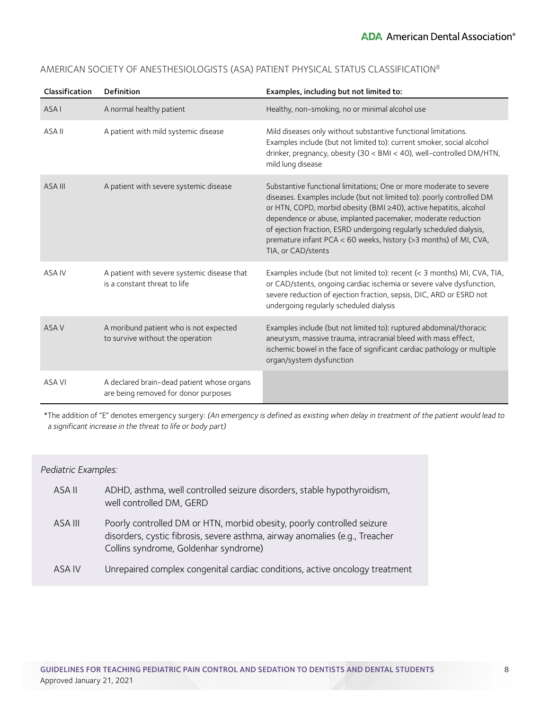| Classification | <b>Definition</b>                                                                  | Examples, including but not limited to:                                                                                                                                                                                                                                                                                                                                                                                                           |
|----------------|------------------------------------------------------------------------------------|---------------------------------------------------------------------------------------------------------------------------------------------------------------------------------------------------------------------------------------------------------------------------------------------------------------------------------------------------------------------------------------------------------------------------------------------------|
| <b>ASAI</b>    | A normal healthy patient                                                           | Healthy, non-smoking, no or minimal alcohol use                                                                                                                                                                                                                                                                                                                                                                                                   |
| ASA II         | A patient with mild systemic disease                                               | Mild diseases only without substantive functional limitations.<br>Examples include (but not limited to): current smoker, social alcohol<br>drinker, pregnancy, obesity (30 < BMI < 40), well-controlled DM/HTN,<br>mild lung disease                                                                                                                                                                                                              |
| ASA III        | A patient with severe systemic disease                                             | Substantive functional limitations; One or more moderate to severe<br>diseases. Examples include (but not limited to): poorly controlled DM<br>or HTN, COPD, morbid obesity (BMI ≥40), active hepatitis, alcohol<br>dependence or abuse, implanted pacemaker, moderate reduction<br>of ejection fraction, ESRD undergoing regularly scheduled dialysis,<br>premature infant PCA < 60 weeks, history (>3 months) of MI, CVA,<br>TIA, or CAD/stents |
| ASA IV         | A patient with severe systemic disease that<br>is a constant threat to life        | Examples include (but not limited to): recent (< 3 months) MI, CVA, TIA,<br>or CAD/stents, ongoing cardiac ischemia or severe valve dysfunction,<br>severe reduction of ejection fraction, sepsis, DIC, ARD or ESRD not<br>undergoing regularly scheduled dialysis                                                                                                                                                                                |
| ASA V          | A moribund patient who is not expected<br>to survive without the operation         | Examples include (but not limited to): ruptured abdominal/thoracic<br>aneurysm, massive trauma, intracranial bleed with mass effect,<br>ischemic bowel in the face of significant cardiac pathology or multiple<br>organ/system dysfunction                                                                                                                                                                                                       |
| ASA VI         | A declared brain-dead patient whose organs<br>are being removed for donor purposes |                                                                                                                                                                                                                                                                                                                                                                                                                                                   |

## AMERICAN SOCIETY OF ANESTHESIOLOGISTS (ASA) PATIENT PHYSICAL STATUS CLASSIFICATION8

\*The addition of "E" denotes emergency surgery: (An emergency is defined as existing when delay in treatment of the patient would lead to a significant increase in the threat to life or body part)

#### Pediatric Examples:

| ASA II  | ADHD, asthma, well controlled seizure disorders, stable hypothyroidism,<br>well controlled DM, GERD                                                                                            |
|---------|------------------------------------------------------------------------------------------------------------------------------------------------------------------------------------------------|
| ASA III | Poorly controlled DM or HTN, morbid obesity, poorly controlled seizure<br>disorders, cystic fibrosis, severe asthma, airway anomalies (e.g., Treacher<br>Collins syndrome, Goldenhar syndrome) |
| ASA IV  | Unrepaired complex congenital cardiac conditions, active oncology treatment                                                                                                                    |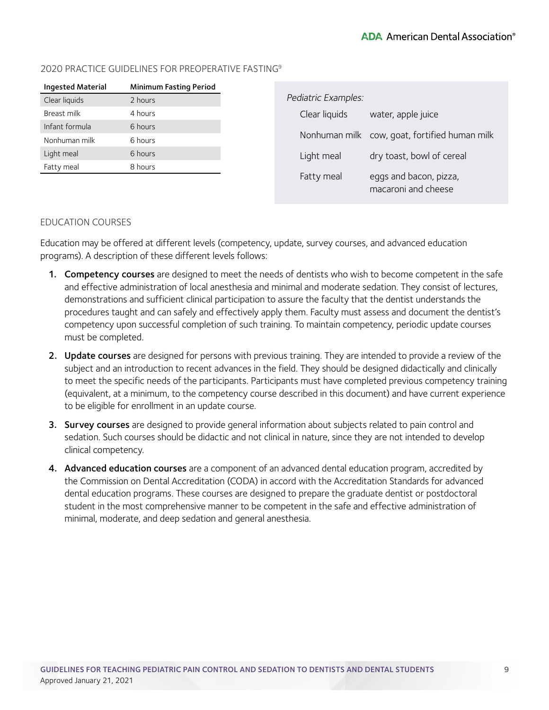## 2020 PRACTICE GUIDELINES FOR PREOPERATIVE FASTING9

| <b>Ingested Material</b> | <b>Minimum Fasting Period</b> |
|--------------------------|-------------------------------|
| Clear liquids            | 2 hours                       |
| Breast milk              | 4 hours                       |
| Infant formula           | 6 hours                       |
| Nonhuman milk            | 6 hours                       |
| Light meal               | 6 hours                       |
| Fatty meal               | 8 hours                       |
|                          |                               |

| Pediatric Examples: |                                               |
|---------------------|-----------------------------------------------|
| Clear liquids       | water, apple juice                            |
|                     | Nonhuman milk cow, goat, fortified human milk |
| Light meal          | dry toast, bowl of cereal                     |
| Fatty meal          | eggs and bacon, pizza,<br>macaroni and cheese |

#### EDUCATION COURSES

Education may be offered at different levels (competency, update, survey courses, and advanced education programs). A description of these different levels follows:

- 1. Competency courses are designed to meet the needs of dentists who wish to become competent in the safe and effective administration of local anesthesia and minimal and moderate sedation. They consist of lectures, demonstrations and sufficient clinical participation to assure the faculty that the dentist understands the procedures taught and can safely and effectively apply them. Faculty must assess and document the dentist's competency upon successful completion of such training. To maintain competency, periodic update courses must be completed.
- 2. Update courses are designed for persons with previous training. They are intended to provide a review of the subject and an introduction to recent advances in the field. They should be designed didactically and clinically to meet the specific needs of the participants. Participants must have completed previous competency training (equivalent, at a minimum, to the competency course described in this document) and have current experience to be eligible for enrollment in an update course.
- 3. Survey courses are designed to provide general information about subjects related to pain control and sedation. Such courses should be didactic and not clinical in nature, since they are not intended to develop clinical competency.
- 4. Advanced education courses are a component of an advanced dental education program, accredited by the Commission on Dental Accreditation (CODA) in accord with the Accreditation Standards for advanced dental education programs. These courses are designed to prepare the graduate dentist or postdoctoral student in the most comprehensive manner to be competent in the safe and effective administration of minimal, moderate, and deep sedation and general anesthesia.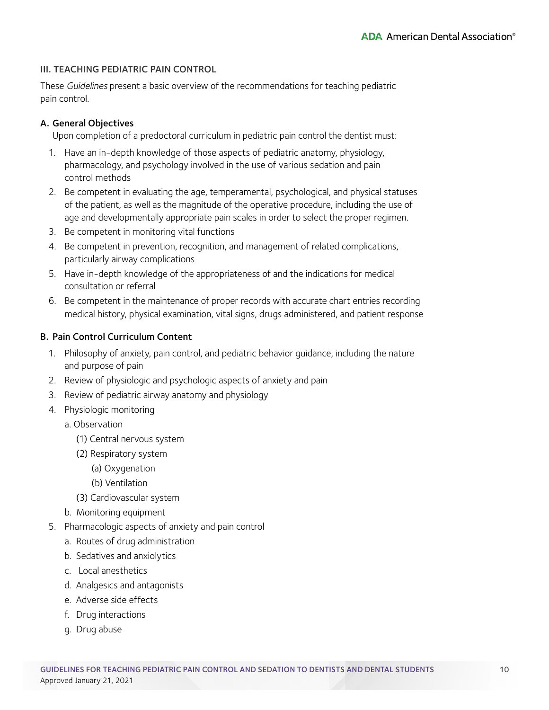## <span id="page-9-0"></span>III. TEACHING PEDIATRIC PAIN CONTROL

These Guidelines present a basic overview of the recommendations for teaching pediatric pain control.

## A. General Objectives

Upon completion of a predoctoral curriculum in pediatric pain control the dentist must:

- 1. Have an in-depth knowledge of those aspects of pediatric anatomy, physiology, pharmacology, and psychology involved in the use of various sedation and pain control methods
- 2. Be competent in evaluating the age, temperamental, psychological, and physical statuses of the patient, as well as the magnitude of the operative procedure, including the use of age and developmentally appropriate pain scales in order to select the proper regimen.
- 3. Be competent in monitoring vital functions
- 4. Be competent in prevention, recognition, and management of related complications, particularly airway complications
- 5. Have in-depth knowledge of the appropriateness of and the indications for medical consultation or referral
- 6. Be competent in the maintenance of proper records with accurate chart entries recording medical history, physical examination, vital signs, drugs administered, and patient response

## B. Pain Control Curriculum Content

- 1. Philosophy of anxiety, pain control, and pediatric behavior guidance, including the nature and purpose of pain
- 2. Review of physiologic and psychologic aspects of anxiety and pain
- 3. Review of pediatric airway anatomy and physiology
- 4. Physiologic monitoring
	- a. Observation
		- (1) Central nervous system
		- (2) Respiratory system
			- (a) Oxygenation
			- (b) Ventilation
		- (3) Cardiovascular system
	- b. Monitoring equipment
- 5. Pharmacologic aspects of anxiety and pain control
	- a. Routes of drug administration
	- b. Sedatives and anxiolytics
	- c. Local anesthetics
	- d. Analgesics and antagonists
	- e. Adverse side effects
	- f. Drug interactions
	- g. Drug abuse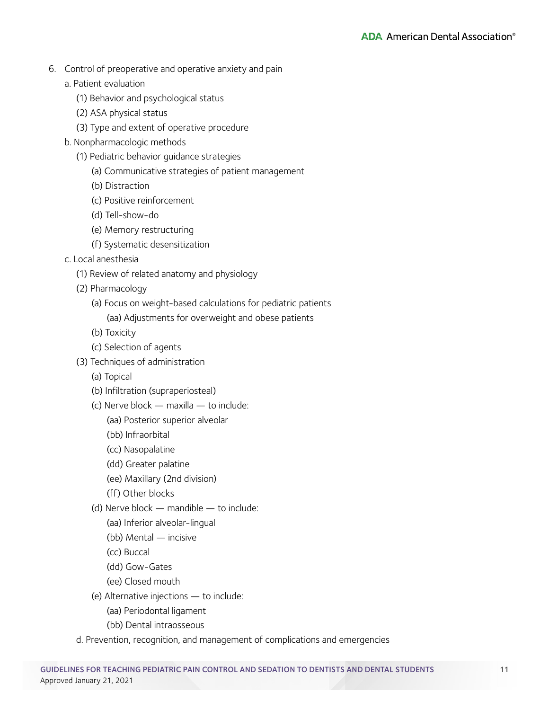- 6. Control of preoperative and operative anxiety and pain
	- a. Patient evaluation
		- (1) Behavior and psychological status
		- (2) ASA physical status
		- (3) Type and extent of operative procedure
	- b. Nonpharmacologic methods
		- (1) Pediatric behavior guidance strategies
			- (a) Communicative strategies of patient management
			- (b) Distraction
			- (c) Positive reinforcement
			- (d) Tell-show-do
			- (e) Memory restructuring
			- (f) Systematic desensitization
	- c. Local anesthesia
		- (1) Review of related anatomy and physiology
		- (2) Pharmacology
			- (a) Focus on weight-based calculations for pediatric patients
				- (aa) Adjustments for overweight and obese patients
			- (b) Toxicity
			- (c) Selection of agents
		- (3) Techniques of administration
			- (a) Topical
			- (b) Infiltration (supraperiosteal)
			- (c) Nerve block maxilla to include:
				- (aa) Posterior superior alveolar
				- (bb) Infraorbital
				- (cc) Nasopalatine
				- (dd) Greater palatine
				- (ee) Maxillary (2nd division)
				- (ff) Other blocks
			- (d) Nerve block mandible to include:
				- (aa) Inferior alveolar-lingual
				- (bb) Mental incisive
				- (cc) Buccal
				- (dd) Gow-Gates
				- (ee) Closed mouth
			- (e) Alternative injections to include:
				- (aa) Periodontal ligament
				- (bb) Dental intraosseous
		- d. Prevention, recognition, and management of complications and emergencies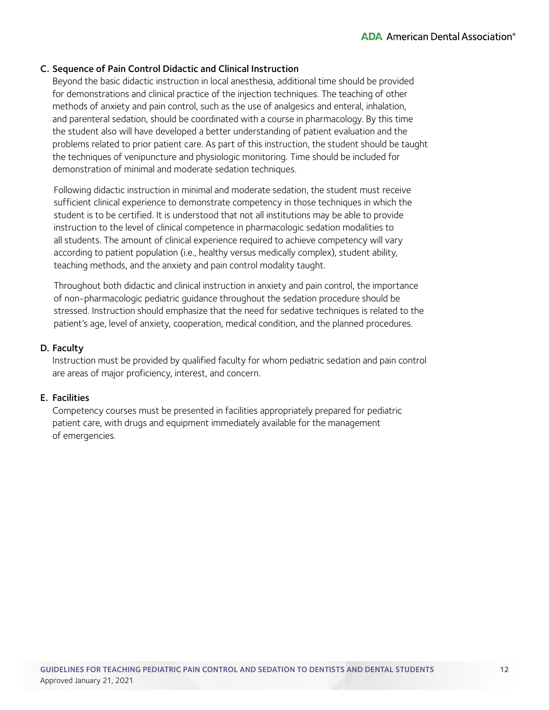## C. Sequence of Pain Control Didactic and Clinical Instruction

Beyond the basic didactic instruction in local anesthesia, additional time should be provided for demonstrations and clinical practice of the injection techniques. The teaching of other methods of anxiety and pain control, such as the use of analgesics and enteral, inhalation, and parenteral sedation, should be coordinated with a course in pharmacology. By this time the student also will have developed a better understanding of patient evaluation and the problems related to prior patient care. As part of this instruction, the student should be taught the techniques of venipuncture and physiologic monitoring. Time should be included for demonstration of minimal and moderate sedation techniques.

 Following didactic instruction in minimal and moderate sedation, the student must receive sufficient clinical experience to demonstrate competency in those techniques in which the student is to be certified. It is understood that not all institutions may be able to provide instruction to the level of clinical competence in pharmacologic sedation modalities to all students. The amount of clinical experience required to achieve competency will vary according to patient population (i.e., healthy versus medically complex), student ability, teaching methods, and the anxiety and pain control modality taught.

 Throughout both didactic and clinical instruction in anxiety and pain control, the importance of non-pharmacologic pediatric guidance throughout the sedation procedure should be stressed. Instruction should emphasize that the need for sedative techniques is related to the patient's age, level of anxiety, cooperation, medical condition, and the planned procedures.

#### D. Faculty

Instruction must be provided by qualified faculty for whom pediatric sedation and pain control are areas of major proficiency, interest, and concern.

#### E. Facilities

Competency courses must be presented in facilities appropriately prepared for pediatric patient care, with drugs and equipment immediately available for the management of emergencies.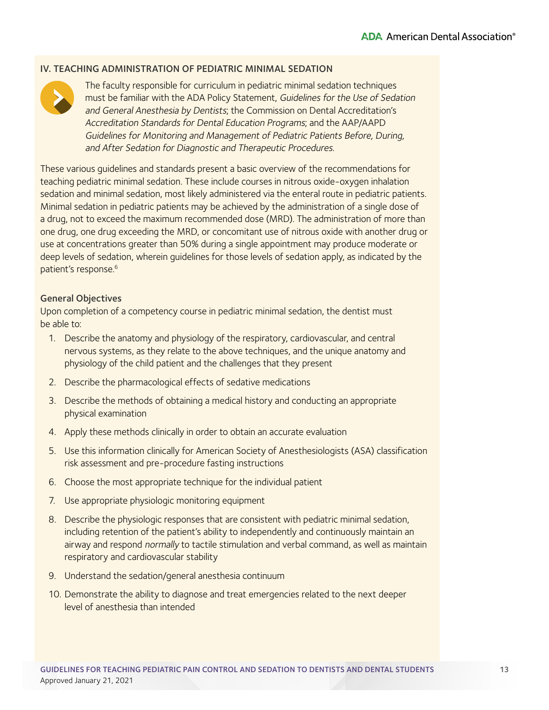#### <span id="page-12-0"></span>IV. TEACHING ADMINISTRATION OF PEDIATRIC MINIMAL SEDATION



The faculty responsible for curriculum in pediatric minimal sedation techniques must be familiar with the ADA Policy Statement, Guidelines for the Use of Sedation and General Anesthesia by Dentists; the Commission on Dental Accreditation's Accreditation Standards for Dental Education Programs; and the AAP/AAPD Guidelines for Monitoring and Management of Pediatric Patients Before, During, and After Sedation for Diagnostic and Therapeutic Procedures.

These various guidelines and standards present a basic overview of the recommendations for teaching pediatric minimal sedation. These include courses in nitrous oxide-oxygen inhalation sedation and minimal sedation, most likely administered via the enteral route in pediatric patients. Minimal sedation in pediatric patients may be achieved by the administration of a single dose of a drug, not to exceed the maximum recommended dose (MRD). The administration of more than one drug, one drug exceeding the MRD, or concomitant use of nitrous oxide with another drug or use at concentrations greater than 50% during a single appointment may produce moderate or deep levels of sedation, wherein guidelines for those levels of sedation apply, as indicated by the patient's response.<sup>6</sup>

#### General Objectives

Upon completion of a competency course in pediatric minimal sedation, the dentist must be able to:

- 1. Describe the anatomy and physiology of the respiratory, cardiovascular, and central nervous systems, as they relate to the above techniques, and the unique anatomy and physiology of the child patient and the challenges that they present
- 2. Describe the pharmacological effects of sedative medications
- 3. Describe the methods of obtaining a medical history and conducting an appropriate physical examination
- 4. Apply these methods clinically in order to obtain an accurate evaluation
- 5. Use this information clinically for American Society of Anesthesiologists (ASA) classification risk assessment and pre-procedure fasting instructions
- 6. Choose the most appropriate technique for the individual patient
- 7. Use appropriate physiologic monitoring equipment
- 8. Describe the physiologic responses that are consistent with pediatric minimal sedation, including retention of the patient's ability to independently and continuously maintain an airway and respond normally to tactile stimulation and verbal command, as well as maintain respiratory and cardiovascular stability
- 9. Understand the sedation/general anesthesia continuum
- 10. Demonstrate the ability to diagnose and treat emergencies related to the next deeper level of anesthesia than intended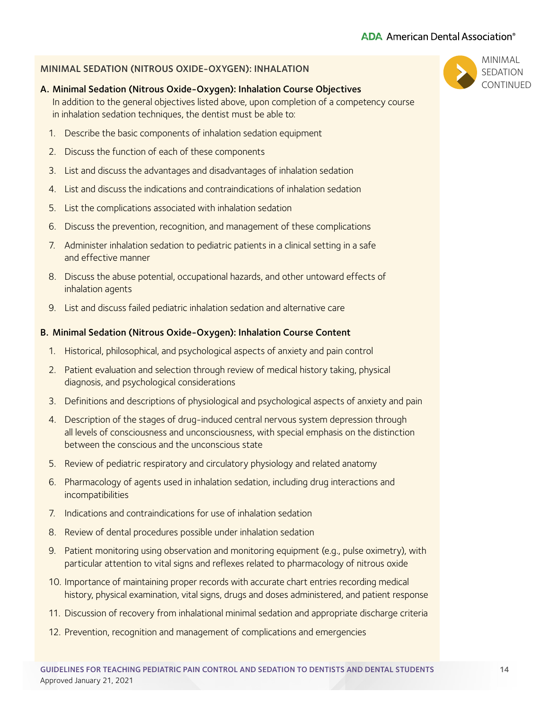#### MINIMAL SEDATION (NITROUS OXIDE-OXYGEN): INHALATION

#### A. Minimal Sedation (Nitrous Oxide-Oxygen): Inhalation Course Objectives

In addition to the general objectives listed above, upon completion of a competency course in inhalation sedation techniques, the dentist must be able to:

- 1. Describe the basic components of inhalation sedation equipment
- 2. Discuss the function of each of these components
- 3. List and discuss the advantages and disadvantages of inhalation sedation
- 4. List and discuss the indications and contraindications of inhalation sedation
- 5. List the complications associated with inhalation sedation
- 6. Discuss the prevention, recognition, and management of these complications
- 7. Administer inhalation sedation to pediatric patients in a clinical setting in a safe and effective manner
- 8. Discuss the abuse potential, occupational hazards, and other untoward effects of inhalation agents
- 9. List and discuss failed pediatric inhalation sedation and alternative care

#### B. Minimal Sedation (Nitrous Oxide-Oxygen): Inhalation Course Content

- 1. Historical, philosophical, and psychological aspects of anxiety and pain control
- 2. Patient evaluation and selection through review of medical history taking, physical diagnosis, and psychological considerations
- 3. Definitions and descriptions of physiological and psychological aspects of anxiety and pain
- 4. Description of the stages of drug-induced central nervous system depression through all levels of consciousness and unconsciousness, with special emphasis on the distinction between the conscious and the unconscious state
- 5. Review of pediatric respiratory and circulatory physiology and related anatomy
- 6. Pharmacology of agents used in inhalation sedation, including drug interactions and incompatibilities
- 7. Indications and contraindications for use of inhalation sedation
- 8. Review of dental procedures possible under inhalation sedation
- 9. Patient monitoring using observation and monitoring equipment (e.g., pulse oximetry), with particular attention to vital signs and reflexes related to pharmacology of nitrous oxide
- 10. Importance of maintaining proper records with accurate chart entries recording medical history, physical examination, vital signs, drugs and doses administered, and patient response
- 11. Discussion of recovery from inhalational minimal sedation and appropriate discharge criteria
- 12. Prevention, recognition and management of complications and emergencies

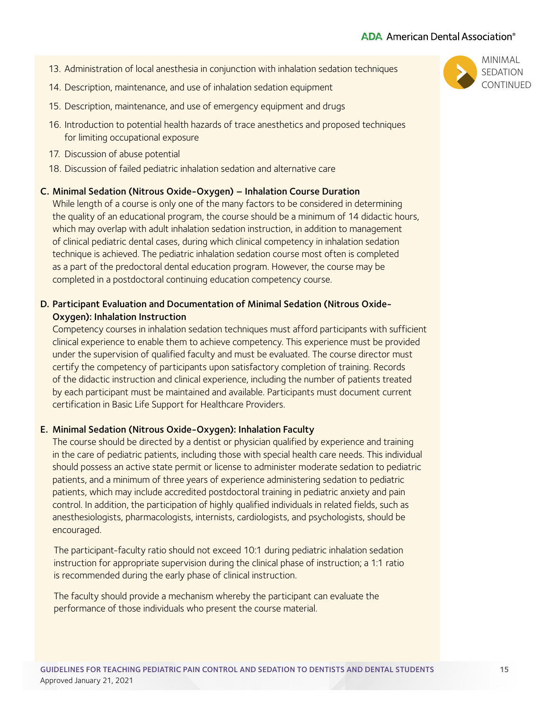- 13. Administration of local anesthesia in conjunction with inhalation sedation techniques
- 14. Description, maintenance, and use of inhalation sedation equipment
- 15. Description, maintenance, and use of emergency equipment and drugs
- 16. Introduction to potential health hazards of trace anesthetics and proposed techniques for limiting occupational exposure
- 17. Discussion of abuse potential
- 18. Discussion of failed pediatric inhalation sedation and alternative care

#### C. Minimal Sedation (Nitrous Oxide-Oxygen) – Inhalation Course Duration

While length of a course is only one of the many factors to be considered in determining the quality of an educational program, the course should be a minimum of 14 didactic hours, which may overlap with adult inhalation sedation instruction, in addition to management of clinical pediatric dental cases, during which clinical competency in inhalation sedation technique is achieved. The pediatric inhalation sedation course most often is completed as a part of the predoctoral dental education program. However, the course may be completed in a postdoctoral continuing education competency course.

## D. Participant Evaluation and Documentation of Minimal Sedation (Nitrous Oxide-Oxygen): Inhalation Instruction

Competency courses in inhalation sedation techniques must afford participants with sufficient clinical experience to enable them to achieve competency. This experience must be provided under the supervision of qualified faculty and must be evaluated. The course director must certify the competency of participants upon satisfactory completion of training. Records of the didactic instruction and clinical experience, including the number of patients treated by each participant must be maintained and available. Participants must document current certification in Basic Life Support for Healthcare Providers.

#### E. Minimal Sedation (Nitrous Oxide-Oxygen): Inhalation Faculty

The course should be directed by a dentist or physician qualified by experience and training in the care of pediatric patients, including those with special health care needs. This individual should possess an active state permit or license to administer moderate sedation to pediatric patients, and a minimum of three years of experience administering sedation to pediatric patients, which may include accredited postdoctoral training in pediatric anxiety and pain control. In addition, the participation of highly qualified individuals in related fields, such as anesthesiologists, pharmacologists, internists, cardiologists, and psychologists, should be encouraged.

 The participant-faculty ratio should not exceed 10:1 during pediatric inhalation sedation instruction for appropriate supervision during the clinical phase of instruction; a 1:1 ratio is recommended during the early phase of clinical instruction.

 The faculty should provide a mechanism whereby the participant can evaluate the performance of those individuals who present the course material.

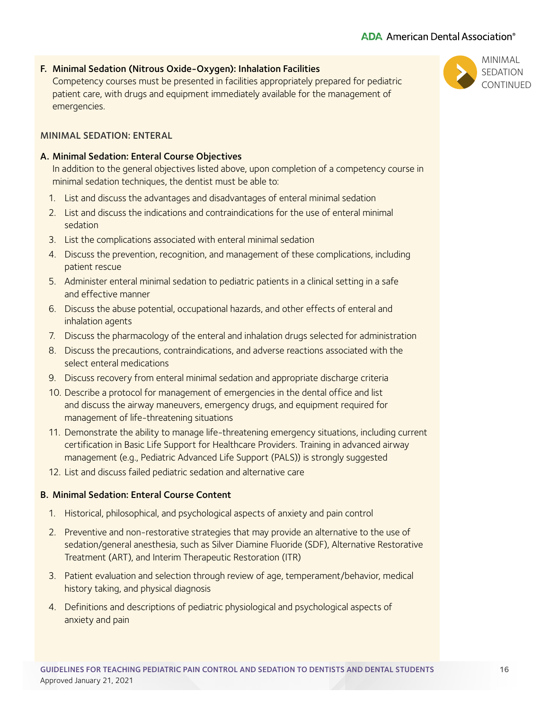# F. Minimal Sedation (Nitrous Oxide-Oxygen): Inhalation Facilities

Competency courses must be presented in facilities appropriately prepared for pediatric patient care, with drugs and equipment immediately available for the management of emergencies.

# MINIMAL SEDATION: ENTERAL

# A. Minimal Sedation: Enteral Course Objectives

In addition to the general objectives listed above, upon completion of a competency course in minimal sedation techniques, the dentist must be able to:

- 1. List and discuss the advantages and disadvantages of enteral minimal sedation
- 2. List and discuss the indications and contraindications for the use of enteral minimal sedation
- 3. List the complications associated with enteral minimal sedation
- 4. Discuss the prevention, recognition, and management of these complications, including patient rescue
- 5. Administer enteral minimal sedation to pediatric patients in a clinical setting in a safe and effective manner
- 6. Discuss the abuse potential, occupational hazards, and other effects of enteral and inhalation agents
- 7. Discuss the pharmacology of the enteral and inhalation drugs selected for administration
- 8. Discuss the precautions, contraindications, and adverse reactions associated with the select enteral medications
- 9. Discuss recovery from enteral minimal sedation and appropriate discharge criteria
- 10. Describe a protocol for management of emergencies in the dental office and list and discuss the airway maneuvers, emergency drugs, and equipment required for management of life-threatening situations
- 11. Demonstrate the ability to manage life-threatening emergency situations, including current certification in Basic Life Support for Healthcare Providers. Training in advanced airway management (e.g., Pediatric Advanced Life Support (PALS)) is strongly suggested
- 12. List and discuss failed pediatric sedation and alternative care

# B. Minimal Sedation: Enteral Course Content

- 1. Historical, philosophical, and psychological aspects of anxiety and pain control
- 2. Preventive and non-restorative strategies that may provide an alternative to the use of sedation/general anesthesia, such as Silver Diamine Fluoride (SDF), Alternative Restorative Treatment (ART), and Interim Therapeutic Restoration (ITR)
- 3. Patient evaluation and selection through review of age, temperament/behavior, medical history taking, and physical diagnosis
- 4. Definitions and descriptions of pediatric physiological and psychological aspects of anxiety and pain



# MINIMAL **SEDATION CONTINUED**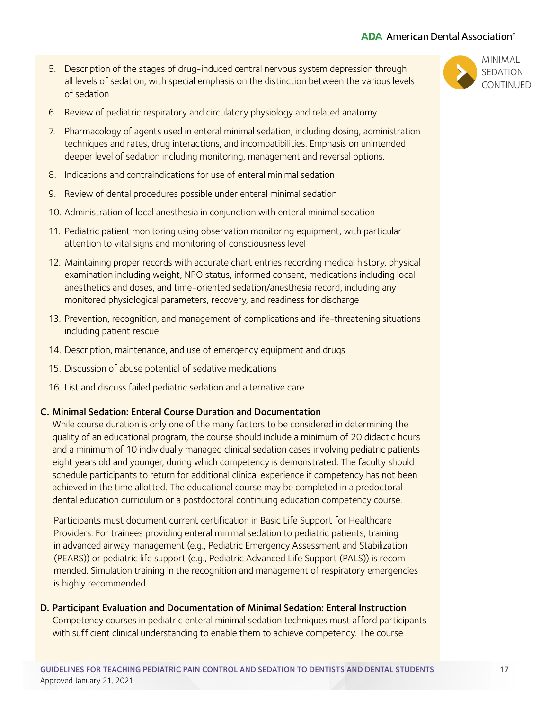# **ADA** American Dental Association<sup>®</sup>

- 5. Description of the stages of drug-induced central nervous system depression through all levels of sedation, with special emphasis on the distinction between the various levels of sedation
- 6. Review of pediatric respiratory and circulatory physiology and related anatomy
- 7. Pharmacology of agents used in enteral minimal sedation, including dosing, administration techniques and rates, drug interactions, and incompatibilities. Emphasis on unintended deeper level of sedation including monitoring, management and reversal options.
- 8. Indications and contraindications for use of enteral minimal sedation
- 9. Review of dental procedures possible under enteral minimal sedation
- 10. Administration of local anesthesia in conjunction with enteral minimal sedation
- 11. Pediatric patient monitoring using observation monitoring equipment, with particular attention to vital signs and monitoring of consciousness level
- 12. Maintaining proper records with accurate chart entries recording medical history, physical examination including weight, NPO status, informed consent, medications including local anesthetics and doses, and time-oriented sedation/anesthesia record, including any monitored physiological parameters, recovery, and readiness for discharge
- 13. Prevention, recognition, and management of complications and life-threatening situations including patient rescue
- 14. Description, maintenance, and use of emergency equipment and drugs
- 15. Discussion of abuse potential of sedative medications
- 16. List and discuss failed pediatric sedation and alternative care

#### C. Minimal Sedation: Enteral Course Duration and Documentation

While course duration is only one of the many factors to be considered in determining the quality of an educational program, the course should include a minimum of 20 didactic hours and a minimum of 10 individually managed clinical sedation cases involving pediatric patients eight years old and younger, during which competency is demonstrated. The faculty should schedule participants to return for additional clinical experience if competency has not been achieved in the time allotted. The educational course may be completed in a predoctoral dental education curriculum or a postdoctoral continuing education competency course.

 Participants must document current certification in Basic Life Support for Healthcare Providers. For trainees providing enteral minimal sedation to pediatric patients, training in advanced airway management (e.g., Pediatric Emergency Assessment and Stabilization (PEARS)) or pediatric life support (e.g., Pediatric Advanced Life Support (PALS)) is recommended. Simulation training in the recognition and management of respiratory emergencies is highly recommended.

#### D. Participant Evaluation and Documentation of Minimal Sedation: Enteral Instruction

Competency courses in pediatric enteral minimal sedation techniques must afford participants with sufficient clinical understanding to enable them to achieve competency. The course

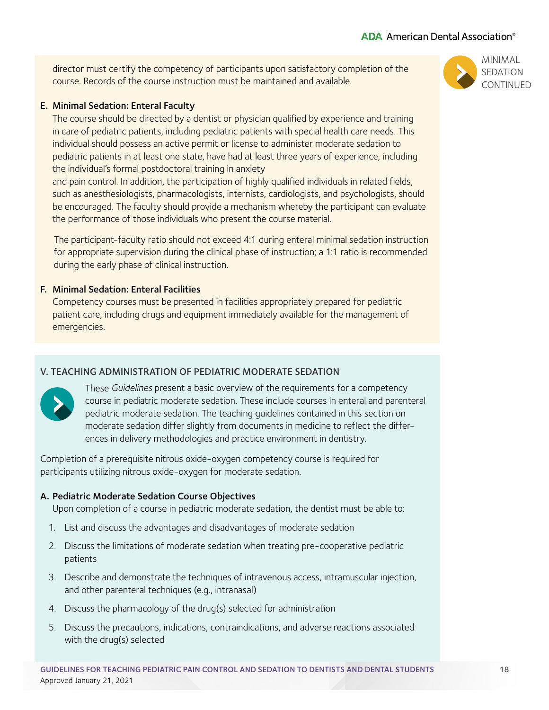<span id="page-17-0"></span>director must certify the competency of participants upon satisfactory completion of the course. Records of the course instruction must be maintained and available.

## E. Minimal Sedation: Enteral Faculty

The course should be directed by a dentist or physician qualified by experience and training in care of pediatric patients, including pediatric patients with special health care needs. This individual should possess an active permit or license to administer moderate sedation to pediatric patients in at least one state, have had at least three years of experience, including the individual's formal postdoctoral training in anxiety

and pain control. In addition, the participation of highly qualified individuals in related fields, such as anesthesiologists, pharmacologists, internists, cardiologists, and psychologists, should be encouraged. The faculty should provide a mechanism whereby the participant can evaluate the performance of those individuals who present the course material.

 The participant-faculty ratio should not exceed 4:1 during enteral minimal sedation instruction for appropriate supervision during the clinical phase of instruction; a 1:1 ratio is recommended during the early phase of clinical instruction.

# F. Minimal Sedation: Enteral Facilities

Competency courses must be presented in facilities appropriately prepared for pediatric patient care, including drugs and equipment immediately available for the management of emergencies.

# V. TEACHING ADMINISTRATION OF PEDIATRIC MODERATE SEDATION



These Guidelines present a basic overview of the requirements for a competency course in pediatric moderate sedation. These include courses in enteral and parenteral pediatric moderate sedation. The teaching guidelines contained in this section on moderate sedation differ slightly from documents in medicine to reflect the differences in delivery methodologies and practice environment in dentistry.

Completion of a prerequisite nitrous oxide-oxygen competency course is required for participants utilizing nitrous oxide-oxygen for moderate sedation.

# A. Pediatric Moderate Sedation Course Objectives

Upon completion of a course in pediatric moderate sedation, the dentist must be able to:

- 1. List and discuss the advantages and disadvantages of moderate sedation
- 2. Discuss the limitations of moderate sedation when treating pre-cooperative pediatric patients
- 3. Describe and demonstrate the techniques of intravenous access, intramuscular injection, and other parenteral techniques (e.g., intranasal)
- 4. Discuss the pharmacology of the drug(s) selected for administration
- 5. Discuss the precautions, indications, contraindications, and adverse reactions associated with the drug(s) selected

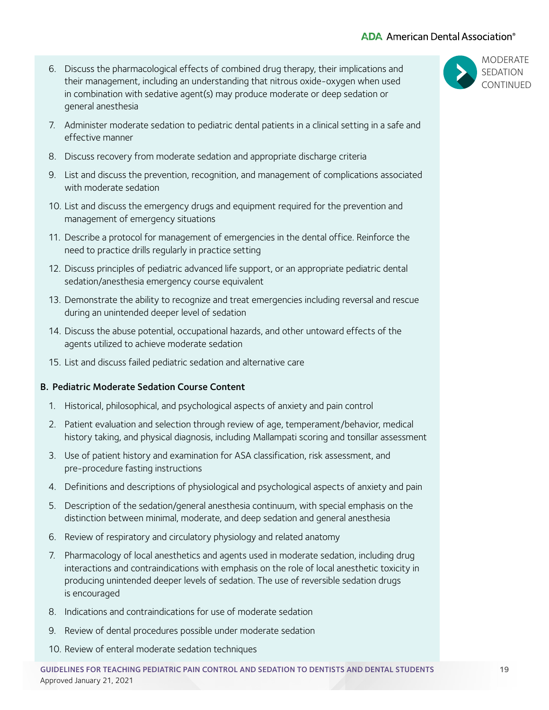# **ADA** American Dental Association<sup>®</sup>

- 6. Discuss the pharmacological effects of combined drug therapy, their implications and their management, including an understanding that nitrous oxide-oxygen when used in combination with sedative agent(s) may produce moderate or deep sedation or general anesthesia
- 7. Administer moderate sedation to pediatric dental patients in a clinical setting in a safe and effective manner
- 8. Discuss recovery from moderate sedation and appropriate discharge criteria
- 9. List and discuss the prevention, recognition, and management of complications associated with moderate sedation
- 10. List and discuss the emergency drugs and equipment required for the prevention and management of emergency situations
- 11. Describe a protocol for management of emergencies in the dental office. Reinforce the need to practice drills regularly in practice setting
- 12. Discuss principles of pediatric advanced life support, or an appropriate pediatric dental sedation/anesthesia emergency course equivalent
- 13. Demonstrate the ability to recognize and treat emergencies including reversal and rescue during an unintended deeper level of sedation
- 14. Discuss the abuse potential, occupational hazards, and other untoward effects of the agents utilized to achieve moderate sedation
- 15. List and discuss failed pediatric sedation and alternative care

#### B. Pediatric Moderate Sedation Course Content

- 1. Historical, philosophical, and psychological aspects of anxiety and pain control
- 2. Patient evaluation and selection through review of age, temperament/behavior, medical history taking, and physical diagnosis, including Mallampati scoring and tonsillar assessment
- 3. Use of patient history and examination for ASA classification, risk assessment, and pre-procedure fasting instructions
- 4. Definitions and descriptions of physiological and psychological aspects of anxiety and pain
- 5. Description of the sedation/general anesthesia continuum, with special emphasis on the distinction between minimal, moderate, and deep sedation and general anesthesia
- 6. Review of respiratory and circulatory physiology and related anatomy
- 7. Pharmacology of local anesthetics and agents used in moderate sedation, including drug interactions and contraindications with emphasis on the role of local anesthetic toxicity in producing unintended deeper levels of sedation. The use of reversible sedation drugs is encouraged
- 8. Indications and contraindications for use of moderate sedation
- 9. Review of dental procedures possible under moderate sedation
- 10. Review of enteral moderate sedation techniques

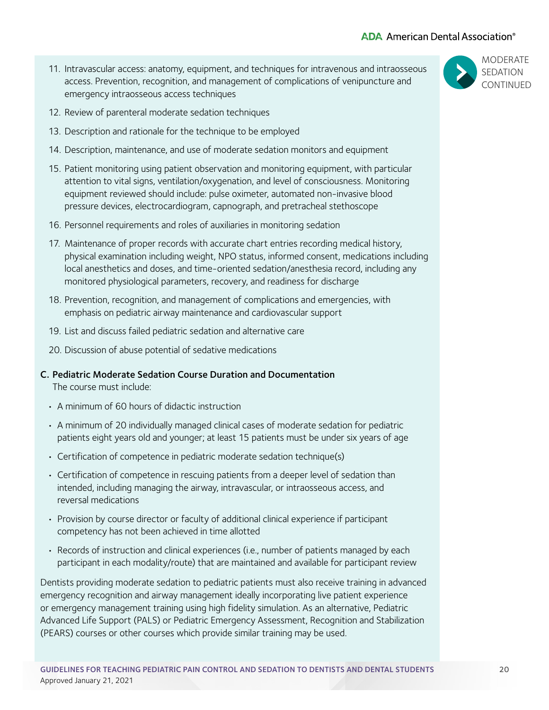# **ADA** American Dental Association<sup>®</sup>

11. Intravascular access: anatomy, equipment, and techniques for intravenous and intraosseous access. Prevention, recognition, and management of complications of venipuncture and emergency intraosseous access techniques



- 12. Review of parenteral moderate sedation techniques
- 13. Description and rationale for the technique to be employed
- 14. Description, maintenance, and use of moderate sedation monitors and equipment
- 15. Patient monitoring using patient observation and monitoring equipment, with particular attention to vital signs, ventilation/oxygenation, and level of consciousness. Monitoring equipment reviewed should include: pulse oximeter, automated non-invasive blood pressure devices, electrocardiogram, capnograph, and pretracheal stethoscope
- 16. Personnel requirements and roles of auxiliaries in monitoring sedation
- 17. Maintenance of proper records with accurate chart entries recording medical history, physical examination including weight, NPO status, informed consent, medications including local anesthetics and doses, and time-oriented sedation/anesthesia record, including any monitored physiological parameters, recovery, and readiness for discharge
- 18. Prevention, recognition, and management of complications and emergencies, with emphasis on pediatric airway maintenance and cardiovascular support
- 19. List and discuss failed pediatric sedation and alternative care
- 20. Discussion of abuse potential of sedative medications

#### C. Pediatric Moderate Sedation Course Duration and Documentation

The course must include:

- A minimum of 60 hours of didactic instruction
- A minimum of 20 individually managed clinical cases of moderate sedation for pediatric patients eight years old and younger; at least 15 patients must be under six years of age
- Certification of competence in pediatric moderate sedation technique(s)
- Certification of competence in rescuing patients from a deeper level of sedation than intended, including managing the airway, intravascular, or intraosseous access, and reversal medications
- Provision by course director or faculty of additional clinical experience if participant competency has not been achieved in time allotted
- Records of instruction and clinical experiences (i.e., number of patients managed by each participant in each modality/route) that are maintained and available for participant review

Dentists providing moderate sedation to pediatric patients must also receive training in advanced emergency recognition and airway management ideally incorporating live patient experience or emergency management training using high fidelity simulation. As an alternative, Pediatric Advanced Life Support (PALS) or Pediatric Emergency Assessment, Recognition and Stabilization (PEARS) courses or other courses which provide similar training may be used.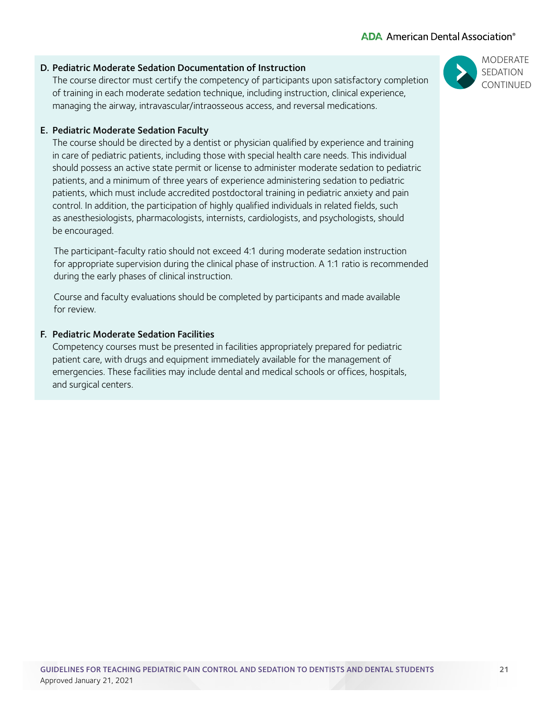# D. Pediatric Moderate Sedation Documentation of Instruction

The course director must certify the competency of participants upon satisfactory completion of training in each moderate sedation technique, including instruction, clinical experience, managing the airway, intravascular/intraosseous access, and reversal medications.

# E. Pediatric Moderate Sedation Faculty

The course should be directed by a dentist or physician qualified by experience and training in care of pediatric patients, including those with special health care needs. This individual should possess an active state permit or license to administer moderate sedation to pediatric patients, and a minimum of three years of experience administering sedation to pediatric patients, which must include accredited postdoctoral training in pediatric anxiety and pain control. In addition, the participation of highly qualified individuals in related fields, such as anesthesiologists, pharmacologists, internists, cardiologists, and psychologists, should be encouraged.

 The participant-faculty ratio should not exceed 4:1 during moderate sedation instruction for appropriate supervision during the clinical phase of instruction. A 1:1 ratio is recommended during the early phases of clinical instruction.

 Course and faculty evaluations should be completed by participants and made available for review.

# F. Pediatric Moderate Sedation Facilities

Competency courses must be presented in facilities appropriately prepared for pediatric patient care, with drugs and equipment immediately available for the management of emergencies. These facilities may include dental and medical schools or offices, hospitals, and surgical centers.